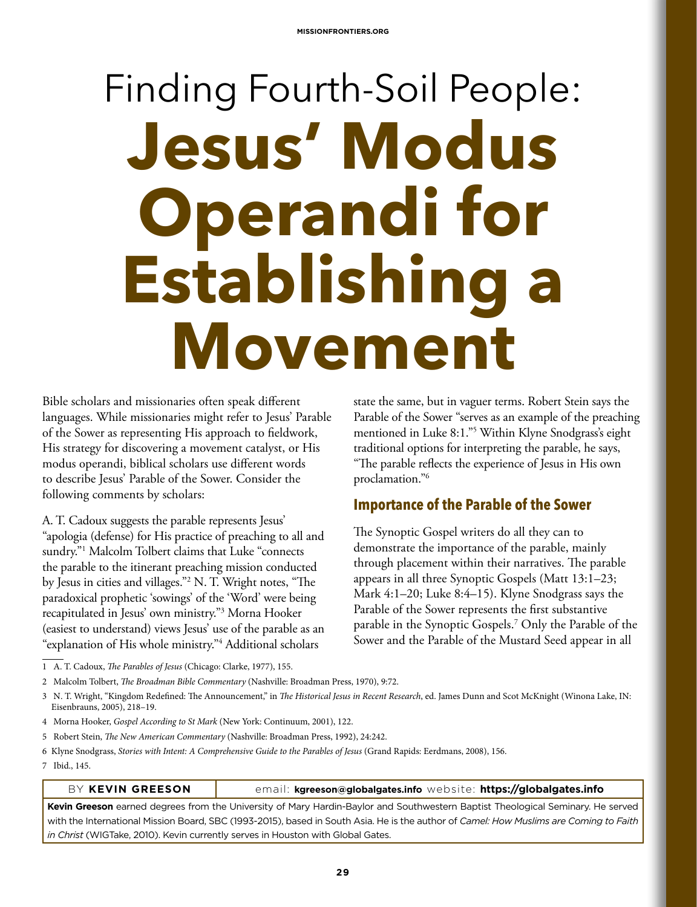# Finding Fourth-Soil People: **Jesus' Modus Operandi for Establishing a Movement**

Bible scholars and missionaries often speak different languages. While missionaries might refer to Jesus' Parable of the Sower as representing His approach to fieldwork, His strategy for discovering a movement catalyst, or His modus operandi, biblical scholars use different words to describe Jesus' Parable of the Sower. Consider the following comments by scholars:

A. T. Cadoux suggests the parable represents Jesus' "apologia (defense) for His practice of preaching to all and sundry."1 Malcolm Tolbert claims that Luke "connects the parable to the itinerant preaching mission conducted by Jesus in cities and villages."2 N. T. Wright notes, "The paradoxical prophetic 'sowings' of the 'Word' were being recapitulated in Jesus' own ministry."3 Morna Hooker (easiest to understand) views Jesus' use of the parable as an "explanation of His whole ministry."4 Additional scholars

state the same, but in vaguer terms. Robert Stein says the Parable of the Sower "serves as an example of the preaching mentioned in Luke 8:1."5 Within Klyne Snodgrass's eight traditional options for interpreting the parable, he says, "The parable reflects the experience of Jesus in His own proclamation."6

# **Importance of the Parable of the Sower**

The Synoptic Gospel writers do all they can to demonstrate the importance of the parable, mainly through placement within their narratives. The parable appears in all three Synoptic Gospels (Matt 13:1–23; Mark 4:1–20; Luke 8:4–15). Klyne Snodgrass says the Parable of the Sower represents the first substantive parable in the Synoptic Gospels.7 Only the Parable of the Sower and the Parable of the Mustard Seed appear in all

- 1 A. T. Cadoux, *The Parables of Jesus* (Chicago: Clarke, 1977), 155.
- 2 Malcolm Tolbert, *The Broadman Bible Commentary* (Nashville: Broadman Press, 1970), 9:72.
- 3 N. T. Wright, "Kingdom Redefined: The Announcement," in *The Historical Jesus in Recent Research*, ed. James Dunn and Scot McKnight (Winona Lake, IN: Eisenbrauns, 2005), 218–19.
- 4 Morna Hooker, *Gospel According to St Mark* (New York: Continuum, 2001), 122.
- 5 Robert Stein, *The New American Commentary* (Nashville: Broadman Press, 1992), 24:242.
- 6 Klyne Snodgrass, *Stories with Intent: A Comprehensive Guide to the Parables of Jesus* (Grand Rapids: Eerdmans, 2008), 156.
- 7 Ibid., 145.

BY **KEVIN GREESON** email: **kgreeson@globalgates.info** website: **https://globalgates.info**

**Kevin Greeson** earned degrees from the University of Mary Hardin-Baylor and Southwestern Baptist Theological Seminary. He served with the International Mission Board, SBC (1993-2015), based in South Asia. He is the author of *Camel: How Muslims are Coming to Faith in Christ* (WIGTake, 2010). Kevin currently serves in Houston with Global Gates.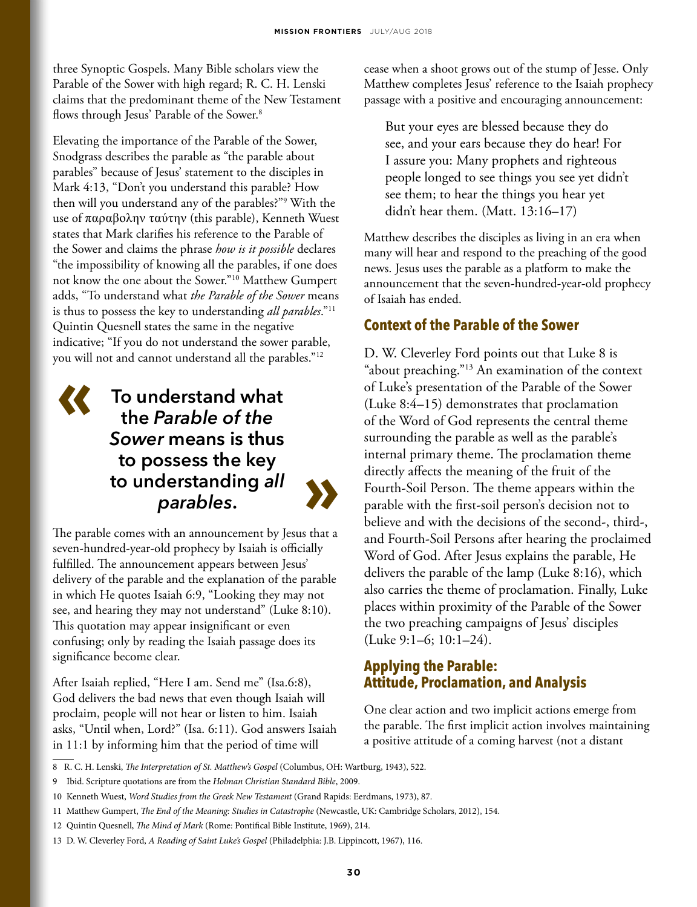three Synoptic Gospels. Many Bible scholars view the Parable of the Sower with high regard; R. C. H. Lenski claims that the predominant theme of the New Testament flows through Jesus' Parable of the Sower.<sup>8</sup>

Elevating the importance of the Parable of the Sower, Snodgrass describes the parable as "the parable about parables" because of Jesus' statement to the disciples in Mark 4:13, "Don't you understand this parable? How then will you understand any of the parables?"9 With the use of παραβολην ταύτην (this parable), Kenneth Wuest states that Mark clarifies his reference to the Parable of the Sower and claims the phrase *how is it possible* declares "the impossibility of knowing all the parables, if one does not know the one about the Sower."10 Matthew Gumpert adds, "To understand what *the Parable of the Sower* means is thus to possess the key to understanding *all parables*."11 Quintin Quesnell states the same in the negative indicative; "If you do not understand the sower parable, you will not and cannot understand all the parables."12

# **« To understand what the** *Parable of the Sower* **means is thus to possess the key to understanding** *all*  **derstanding all**<br>parables.



The parable comes with an announcement by Jesus that a seven-hundred-year-old prophecy by Isaiah is officially fulfilled. The announcement appears between Jesus' delivery of the parable and the explanation of the parable in which He quotes Isaiah 6:9, "Looking they may not see, and hearing they may not understand" (Luke 8:10). This quotation may appear insignificant or even confusing; only by reading the Isaiah passage does its significance become clear.

After Isaiah replied, "Here I am. Send me" (Isa.6:8), God delivers the bad news that even though Isaiah will proclaim, people will not hear or listen to him. Isaiah asks, "Until when, Lord?" (Isa. 6:11). God answers Isaiah in 11:1 by informing him that the period of time will

cease when a shoot grows out of the stump of Jesse. Only Matthew completes Jesus' reference to the Isaiah prophecy passage with a positive and encouraging announcement:

But your eyes are blessed because they do see, and your ears because they do hear! For I assure you: Many prophets and righteous people longed to see things you see yet didn't see them; to hear the things you hear yet didn't hear them. (Matt. 13:16–17)

Matthew describes the disciples as living in an era when many will hear and respond to the preaching of the good news. Jesus uses the parable as a platform to make the announcement that the seven-hundred-year-old prophecy of Isaiah has ended.

# **Context of the Parable of the Sower**

D. W. Cleverley Ford points out that Luke 8 is "about preaching."13 An examination of the context of Luke's presentation of the Parable of the Sower (Luke 8:4–15) demonstrates that proclamation of the Word of God represents the central theme surrounding the parable as well as the parable's internal primary theme. The proclamation theme directly affects the meaning of the fruit of the Fourth-Soil Person. The theme appears within the parable with the first-soil person's decision not to believe and with the decisions of the second-, third-, and Fourth-Soil Persons after hearing the proclaimed Word of God. After Jesus explains the parable, He delivers the parable of the lamp (Luke 8:16), which also carries the theme of proclamation. Finally, Luke places within proximity of the Parable of the Sower the two preaching campaigns of Jesus' disciples (Luke 9:1–6; 10:1–24).

# **Applying the Parable: Attitude, Proclamation, and Analysis**

One clear action and two implicit actions emerge from the parable. The first implicit action involves maintaining a positive attitude of a coming harvest (not a distant

<sup>8</sup> R. C. H. Lenski, *The Interpretation of St. Matthew's Gospel* (Columbus, OH: Wartburg, 1943), 522.

<sup>9</sup> Ibid. Scripture quotations are from the *Holman Christian Standard Bible*, 2009.

<sup>10</sup> Kenneth Wuest, *Word Studies from the Greek New Testament* (Grand Rapids: Eerdmans, 1973), 87.

<sup>11</sup> Matthew Gumpert, *The End of the Meaning: Studies in Catastrophe* (Newcastle, UK: Cambridge Scholars, 2012), 154.

<sup>12</sup> Quintin Quesnell, *The Mind of Mark* (Rome: Pontifical Bible Institute, 1969), 214.

<sup>13</sup> D. W. Cleverley Ford, *A Reading of Saint Luke's Gospel* (Philadelphia: J.B. Lippincott, 1967), 116.